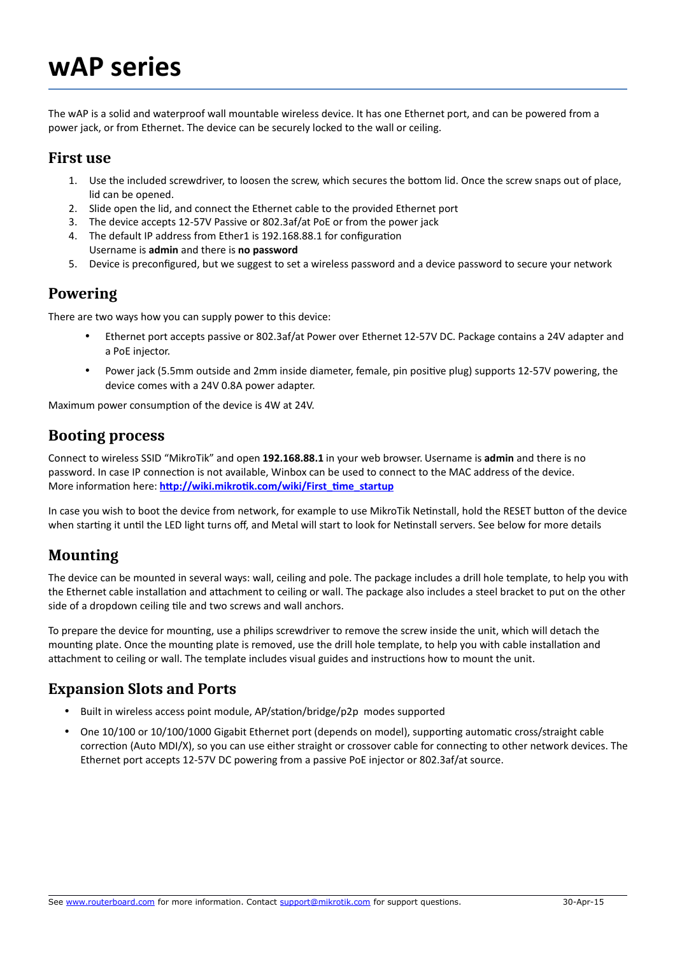# **wAP series**

The wAP is a solid and waterproof wall mountable wireless device. It has one Ethernet port, and can be powered from a power jack, or from Ethernet. The device can be securely locked to the wall or ceiling.

#### **First use**

- 1. Use the included screwdriver, to loosen the screw, which secures the bottom lid. Once the screw snaps out of place, lid can be opened.
- 2. Slide open the lid, and connect the Ethernet cable to the provided Ethernet port
- 3. The device accepts 12-57V Passive or 802.3af/at PoE or from the power jack
- 4. The default IP address from Ether1 is 192.168.88.1 for configuration Username is **admin** and there is **no password**
- 5. Device is preconfigured, but we suggest to set a wireless password and a device password to secure your network

#### **Powering**

There are two ways how you can supply power to this device:

- Ethernet port accepts passive or 802.3af/at Power over Ethernet 12-57V DC. Package contains a 24V adapter and a PoE injector.
- Power jack (5.5mm outside and 2mm inside diameter, female, pin positive plug) supports 12-57V powering, the device comes with a 24V 0.8A power adapter.

Maximum power consumption of the device is 4W at 24V.

#### **Booting process**

Connect to wireless SSID "MikroTik" and open **192.168.88.1** in your web browser. Username is **admin** and there is no password. In case IP connection is not available, Winbox can be used to connect to the MAC address of the device. More information here: [http://wiki.mikrotik.com/wiki/First\\_time\\_startup](http://wiki.mikrotik.com/wiki/First_time_startup)

In case you wish to boot the device from network, for example to use MikroTik Netinstall, hold the RESET button of the device when starting it until the LED light turns off, and Metal will start to look for Netinstall servers. See below for more details

## **Mounting**

The device can be mounted in several ways: wall, ceiling and pole. The package includes a drill hole template, to help you with the Ethernet cable installation and attachment to ceiling or wall. The package also includes a steel bracket to put on the other side of a dropdown ceiling tile and two screws and wall anchors.

To prepare the device for mounting, use a philips screwdriver to remove the screw inside the unit, which will detach the mounting plate. Once the mounting plate is removed, use the drill hole template, to help you with cable installation and attachment to ceiling or wall. The template includes visual guides and instructions how to mount the unit.

#### **Expansion Slots and Ports**

- Built in wireless access point module, AP/station/bridge/p2p modes supported
- One 10/100 or 10/100/1000 Gigabit Ethernet port (depends on model), supporting automatic cross/straight cable correction (Auto MDI/X), so you can use either straight or crossover cable for connecting to other network devices. The Ethernet port accepts 12-57V DC powering from a passive PoE injector or 802.3af/at source.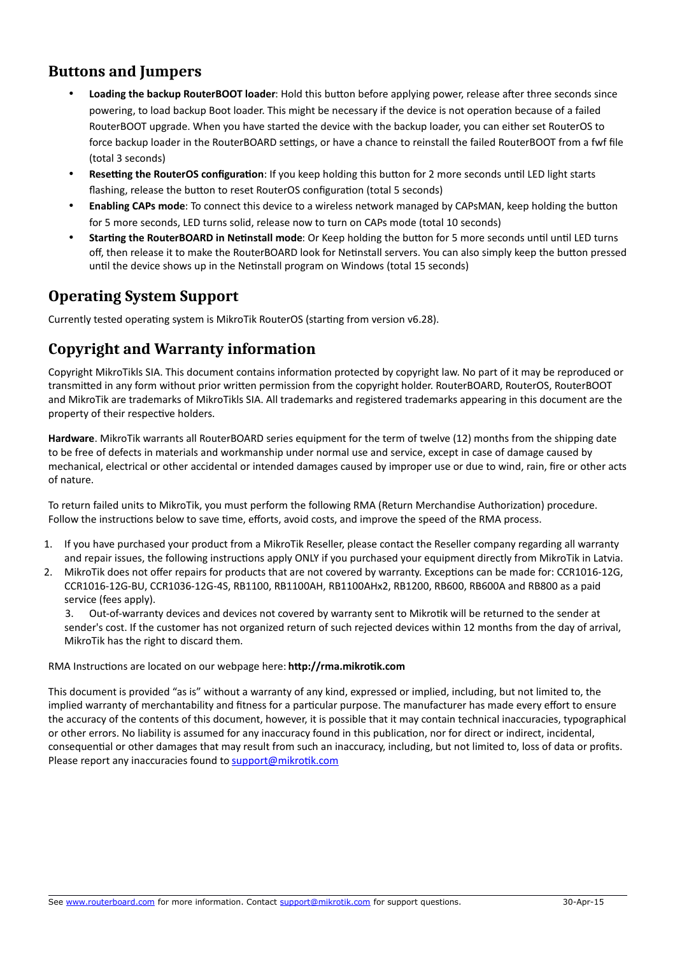### **Buttons and Jumpers**

- **Loading the backup RouterBOOT loader**: Hold this button before applying power, release after three seconds since powering, to load backup Boot loader. This might be necessary if the device is not operation because of a failed RouterBOOT upgrade. When you have started the device with the backup loader, you can either set RouterOS to force backup loader in the RouterBOARD settings, or have a chance to reinstall the failed RouterBOOT from a fwf file (total 3 seconds)
- **Resetting the RouterOS configuration**: If you keep holding this button for 2 more seconds until LED light starts flashing, release the button to reset RouterOS configuration (total 5 seconds)
- **Enabling CAPs mode**: To connect this device to a wireless network managed by CAPsMAN, keep holding the button for 5 more seconds, LED turns solid, release now to turn on CAPs mode (total 10 seconds)
- **Starting the RouterBOARD in Netinstall mode**: Or Keep holding the button for 5 more seconds until until LED turns off, then release it to make the RouterBOARD look for Netinstall servers. You can also simply keep the button pressed until the device shows up in the Netinstall program on Windows (total 15 seconds)

## **Operating System Support**

Currently tested operating system is MikroTik RouterOS (starting from version v6.28).

## **Copyright and Warranty information**

Copyright MikroTikls SIA. This document contains information protected by copyright law. No part of it may be reproduced or transmitted in any form without prior written permission from the copyright holder. RouterBOARD, RouterOS, RouterBOOT and MikroTik are trademarks of MikroTikls SIA. All trademarks and registered trademarks appearing in this document are the property of their respective holders.

**Hardware**. MikroTik warrants all RouterBOARD series equipment for the term of twelve (12) months from the shipping date to be free of defects in materials and workmanship under normal use and service, except in case of damage caused by mechanical, electrical or other accidental or intended damages caused by improper use or due to wind, rain, fire or other acts of nature.

To return failed units to MikroTik, you must perform the following RMA (Return Merchandise Authorization) procedure. Follow the instructions below to save time, efforts, avoid costs, and improve the speed of the RMA process.

- 1. If you have purchased your product from a MikroTik Reseller, please contact the Reseller company regarding all warranty and repair issues, the following instructions apply ONLY if you purchased your equipment directly from MikroTik in Latvia.
- 2. MikroTik does not offer repairs for products that are not covered by warranty. Exceptions can be made for: CCR1016-12G, CCR1016-12G-BU, CCR1036-12G-4S, RB1100, RB1100AH, RB1100AHx2, RB1200, RB600, RB600A and RB800 as a paid service (fees apply).

3. Out-of-warranty devices and devices not covered by warranty sent to Mikrotik will be returned to the sender at sender's cost. If the customer has not organized return of such rejected devices within 12 months from the day of arrival, MikroTik has the right to discard them.

RMA Instructions are located on our webpage here: **http://rma.mikrotik.com**

This document is provided "as is" without a warranty of any kind, expressed or implied, including, but not limited to, the implied warranty of merchantability and fitness for a particular purpose. The manufacturer has made every effort to ensure the accuracy of the contents of this document, however, it is possible that it may contain technical inaccuracies, typographical or other errors. No liability is assumed for any inaccuracy found in this publication, nor for direct or indirect, incidental, consequential or other damages that may result from such an inaccuracy, including, but not limited to, loss of data or profits. Please report any inaccuracies found to [support@mikrotik.com](mailto:support@mikrotik.com)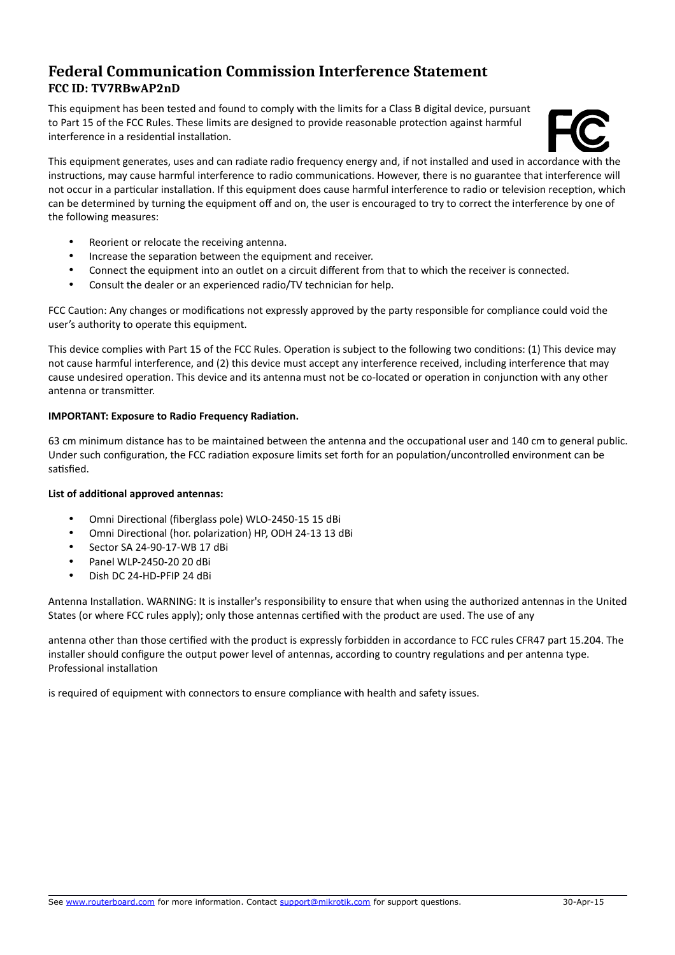#### **Federal Communication Commission Interference Statement FCC ID: TV7RBwAP2nD**

This equipment has been tested and found to comply with the limits for a Class B digital device, pursuant to Part 15 of the FCC Rules. These limits are designed to provide reasonable protection against harmful interference in a residential installation.



This equipment generates, uses and can radiate radio frequency energy and, if not installed and used in accordance with the instructions, may cause harmful interference to radio communications. However, there is no guarantee that interference will not occur in a particular installation. If this equipment does cause harmful interference to radio or television reception, which can be determined by turning the equipment off and on, the user is encouraged to try to correct the interference by one of the following measures:

- Reorient or relocate the receiving antenna.
- Increase the separation between the equipment and receiver.
- Connect the equipment into an outlet on a circuit different from that to which the receiver is connected.
- Consult the dealer or an experienced radio/TV technician for help.

FCC Caution: Any changes or modifications not expressly approved by the party responsible for compliance could void the user's authority to operate this equipment.

This device complies with Part 15 of the FCC Rules. Operation is subject to the following two conditions: (1) This device may not cause harmful interference, and (2) this device must accept any interference received, including interference that may cause undesired operation. This device and its antenna must not be co-located or operation in conjunction with any other antenna or transmitter.

#### **IMPORTANT: Exposure to Radio Frequency Radiation.**

63 cm minimum distance has to be maintained between the antenna and the occupational user and 140 cm to general public. Under such configuration, the FCC radiation exposure limits set forth for an population/uncontrolled environment can be satisfied.

#### **List of additional approved antennas:**

- Omni Directional (fiberglass pole) WLO-2450-15 15 dBi
- Omni Directional (hor. polarization) HP, ODH 24-13 13 dBi
- Sector SA 24-90-17-WB 17 dBi
- Panel WLP-2450-20 20 dBi
- Dish DC 24-HD-PFIP 24 dBi

Antenna Installation. WARNING: It is installer's responsibility to ensure that when using the authorized antennas in the United States (or where FCC rules apply); only those antennas certified with the product are used. The use of any

antenna other than those certified with the product is expressly forbidden in accordance to FCC rules CFR47 part 15.204. The installer should configure the output power level of antennas, according to country regulations and per antenna type. Professional installation

is required of equipment with connectors to ensure compliance with health and safety issues.